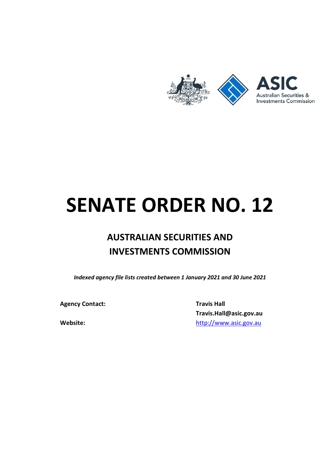

## SENATE ORDER NO. 12

## AUSTRALIAN SECURITIES AND INVESTMENTS COMMISSION

Indexed agency file lists created between 1 January 2021 and 30 June 2021

Agency Contact: Travis Hall

Travis.Hall@asic.gov.au Website: when the http://www.asic.gov.au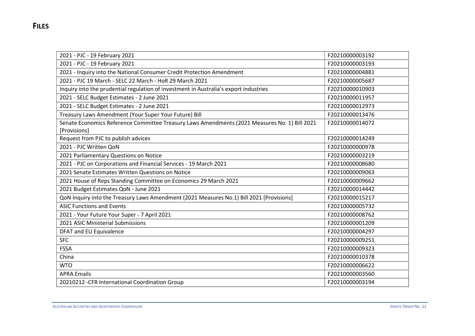| 2021 - PJC - 19 February 2021                                                                 | F20210000003192 |
|-----------------------------------------------------------------------------------------------|-----------------|
| 2021 - PJC - 19 February 2021                                                                 | F20210000003193 |
| 2021 - Inquiry into the National Consumer Credit Protection Amendment                         | F20210000004881 |
| 2021 - PJC 19 March - SELC 22 March - HoR 29 March 2021                                       | F20210000005687 |
| Inquiry into the prudential regulation of investment in Australia's export industries         | F20210000010903 |
| 2021 - SELC Budget Estimates - 2 June 2021                                                    | F20210000011957 |
| 2021 - SELC Budget Estimates - 2 June 2021                                                    | F20210000012973 |
| Treasury Laws Amendment (Your Super Your Future) Bill                                         | F20210000013476 |
| Senate Economics Reference Committee Treasury Laws Amendments (2021 Measures No. 1) Bill 2021 | F20210000014072 |
| [Provisions]                                                                                  |                 |
| Request from PJC to publish advices                                                           | F20210000014249 |
| 2021 - PJC Written QoN                                                                        | F20210000000978 |
| 2021 Parliamentary Questions on Notice                                                        | F20210000003219 |
| 2021 - PJC on Corporations and Financial Services - 19 March 2021                             | F20210000008680 |
| 2021 Senate Estimates Written Questions on Notice                                             | F20210000009063 |
| 2021 House of Reps Standing Committee on Economics 29 March 2021                              | F20210000009662 |
| 2021 Budget Estimates QoN - June 2021                                                         | F20210000014442 |
| QoN Inquiry into the Treasury Laws Amendment (2021 Measures No.1) Bill 2021 [Provisions]      | F20210000015217 |
| <b>ASIC Functions and Events</b>                                                              | F20210000005732 |
| 2021 - Your Future Your Super - 7 April 2021                                                  | F20210000008762 |
| 2021 ASIC Ministerial Submissions                                                             | F20210000001209 |
| DFAT and EU Equivalence                                                                       | F20210000004297 |
| <b>SFC</b>                                                                                    | F20210000009251 |
| <b>FSSA</b>                                                                                   | F20210000009323 |
| China                                                                                         | F20210000010378 |
| <b>WTO</b>                                                                                    | F20210000006622 |
| <b>APRA Emails</b>                                                                            | F20210000003560 |
| 20210212 - CFR International Coordination Group                                               | F20210000003194 |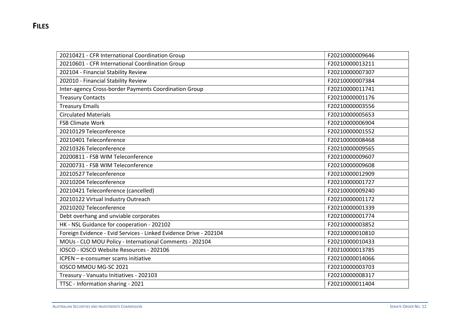| 20210421 - CFR International Coordination Group                   | F20210000009646 |
|-------------------------------------------------------------------|-----------------|
| 20210601 - CFR International Coordination Group                   | F20210000013211 |
| 202104 - Financial Stability Review                               | F20210000007307 |
| 202010 - Financial Stability Review                               | F20210000007384 |
| Inter-agency Cross-border Payments Coordination Group             | F20210000011741 |
| <b>Treasury Contacts</b>                                          | F20210000001176 |
| <b>Treasury Emails</b>                                            | F20210000003556 |
| <b>Circulated Materials</b>                                       | F20210000005653 |
| <b>FSB Climate Work</b>                                           | F20210000006904 |
| 20210129 Teleconference                                           | F20210000001552 |
| 20210401 Teleconference                                           | F20210000008468 |
| 20210326 Teleconference                                           | F20210000009565 |
| 20200811 - FSB WIM Teleconference                                 | F20210000009607 |
| 20200731 - FSB WIM Teleconference                                 | F20210000009608 |
| 20210527 Teleconference                                           | F20210000012909 |
| 20210204 Teleconference                                           | F20210000001727 |
| 20210421 Teleconference (cancelled)                               | F20210000009240 |
| 20210122 Virtual Industry Outreach                                | F20210000001172 |
| 20210202 Teleconference                                           | F20210000001339 |
| Debt overhang and unviable corporates                             | F20210000001774 |
| HK - NSL Guidance for cooperation - 202102                        | F20210000003852 |
| Foreign Evidence - Evid Services - Linked Evidence Drive - 202104 | F20210000010810 |
| MOUs - CLO MOU Policy - International Comments - 202104           | F20210000010433 |
| IOSCO - IOSCO Website Resources - 202106                          | F20210000013785 |
| ICPEN - e-consumer scams initiative                               | F20210000014066 |
| IOSCO MMOU MG-SC 2021                                             | F20210000003703 |
| Treasury - Vanuatu Initiatives - 202103                           | F20210000008317 |
| TTSC - Information sharing - 2021                                 | F20210000011404 |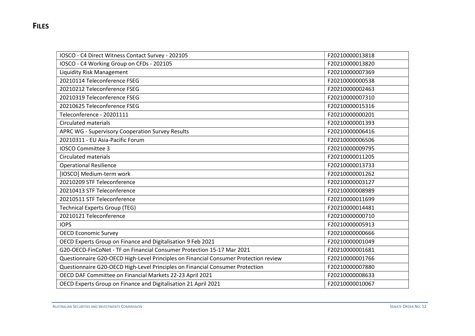| IOSCO - C4 Direct Witness Contact Survey - 202105                                    | F20210000013818 |
|--------------------------------------------------------------------------------------|-----------------|
| IOSCO - C4 Working Group on CFDs - 202105                                            | F20210000013820 |
| Liquidity Risk Management                                                            | F20210000007369 |
| 20210114 Teleconference FSEG                                                         | F20210000000538 |
| 20210212 Teleconference FSEG                                                         | F20210000002463 |
| 20210319 Teleconference FSEG                                                         | F20210000007310 |
| 20210625 Teleconference FSEG                                                         | F20210000015316 |
| Teleconference - 20201111                                                            | F20210000000201 |
| <b>Circulated materials</b>                                                          | F20210000001393 |
| APRC WG - Supervisory Cooperation Survey Results                                     | F20210000006416 |
| 20210311 - EU Asia-Pacific Forum                                                     | F20210000006506 |
| <b>IOSCO Committee 3</b>                                                             | F20210000009795 |
| <b>Circulated materials</b>                                                          | F20210000011205 |
| <b>Operational Resilience</b>                                                        | F20210000013733 |
| [IOSCO] Medium-term work                                                             | F20210000001262 |
| 20210209 STF Teleconference                                                          | F20210000003127 |
| 20210413 STF Teleconference                                                          | F20210000008989 |
| 20210511 STF Teleconference                                                          | F20210000011699 |
| <b>Technical Experts Group (TEG)</b>                                                 | F20210000014481 |
| 20210121 Teleconference                                                              | F20210000000710 |
| <b>IOPS</b>                                                                          | F20210000005913 |
| <b>OECD Economic Survey</b>                                                          | F20210000000666 |
| OECD Experts Group on Finance and Digitalisation 9 Feb 2021                          | F20210000001049 |
| G20-OECD-FinCoNet - TF on Financial Consumer Protection 15-17 Mar 2021               | F20210000001681 |
| Questionnaire G20-OECD High-Level Principles on Financial Consumer Protection review | F20210000001766 |
| Questionnaire G20-OECD High-Level Principles on Financial Consumer Protection        | F20210000007880 |
| OECD DAF Committee on Financial Markets 22-23 April 2021                             | F20210000008633 |
| OECD Experts Group on Finance and Digitalisation 21 April 2021                       | F20210000010067 |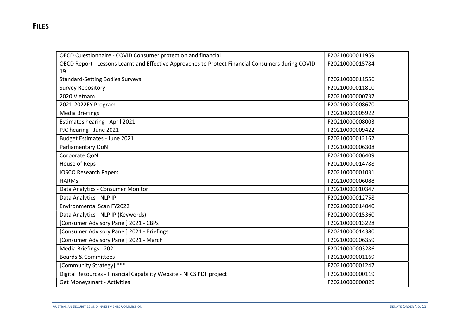| OECD Questionnaire - COVID Consumer protection and financial                                       | F20210000011959 |
|----------------------------------------------------------------------------------------------------|-----------------|
| OECD Report - Lessons Learnt and Effective Approaches to Protect Financial Consumers during COVID- | F20210000015784 |
| 19                                                                                                 |                 |
| <b>Standard-Setting Bodies Surveys</b>                                                             | F20210000011556 |
| <b>Survey Repository</b>                                                                           | F20210000011810 |
| 2020 Vietnam                                                                                       | F20210000000737 |
| 2021-2022FY Program                                                                                | F20210000008670 |
| <b>Media Briefings</b>                                                                             | F20210000005922 |
| Estimates hearing - April 2021                                                                     | F20210000008003 |
| PJC hearing - June 2021                                                                            | F20210000009422 |
| Budget Estimates - June 2021                                                                       | F20210000012162 |
| Parliamentary QoN                                                                                  | F20210000006308 |
| Corporate QoN                                                                                      | F20210000006409 |
| House of Reps                                                                                      | F20210000014788 |
| <b>IOSCO Research Papers</b>                                                                       | F20210000001031 |
| <b>HARMs</b>                                                                                       | F20210000006088 |
| Data Analytics - Consumer Monitor                                                                  | F20210000010347 |
| Data Analytics - NLP IP                                                                            | F20210000012758 |
| <b>Environmental Scan FY2022</b>                                                                   | F20210000014040 |
| Data Analytics - NLP IP (Keywords)                                                                 | F20210000015360 |
| [Consumer Advisory Panel] 2021 - CBPs                                                              | F20210000013228 |
| [Consumer Advisory Panel] 2021 - Briefings                                                         | F20210000014380 |
| [Consumer Advisory Panel] 2021 - March                                                             | F20210000006359 |
| Media Briefings - 2021                                                                             | F20210000003286 |
| <b>Boards &amp; Committees</b>                                                                     | F20210000001169 |
| [Community Strategy] ***                                                                           | F20210000001247 |
| Digital Resources - Financial Capability Website - NFCS PDF project                                | F20210000000119 |
| <b>Get Moneysmart - Activities</b>                                                                 | F20210000000829 |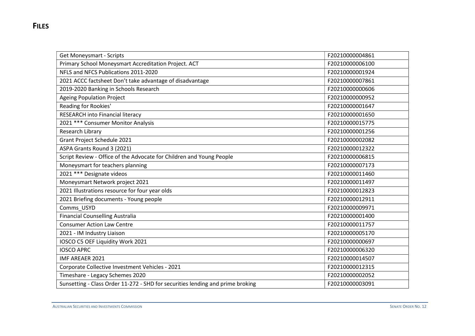| <b>Get Moneysmart - Scripts</b>                                                | F20210000004861 |
|--------------------------------------------------------------------------------|-----------------|
| Primary School Moneysmart Accreditation Project. ACT                           | F20210000006100 |
| NFLS and NFCS Publications 2011-2020                                           | F20210000001924 |
| 2021 ACCC factsheet Don't take advantage of disadvantage                       | F20210000007861 |
| 2019-2020 Banking in Schools Research                                          | F20210000000606 |
| <b>Ageing Population Project</b>                                               | F20210000000952 |
| Reading for Rookies'                                                           | F20210000001647 |
| <b>RESEARCH into Financial literacy</b>                                        | F20210000001650 |
| 2021 *** Consumer Monitor Analysis                                             | F20210000015775 |
| Research Library                                                               | F20210000001256 |
| Grant Project Schedule 2021                                                    | F20210000002082 |
| ASPA Grants Round 3 (2021)                                                     | F20210000012322 |
| Script Review - Office of the Advocate for Children and Young People           | F20210000006815 |
| Moneysmart for teachers planning                                               | F20210000007173 |
| 2021 *** Designate videos                                                      | F20210000011460 |
| Moneysmart Network project 2021                                                | F20210000011497 |
| 2021 Illustrations resource for four year olds                                 | F20210000012823 |
| 2021 Briefing documents - Young people                                         | F20210000012911 |
| Comms_USYD                                                                     | F20210000009971 |
| <b>Financial Counselling Australia</b>                                         | F20210000001400 |
| <b>Consumer Action Law Centre</b>                                              | F20210000011757 |
| 2021 - IM Industry Liaison                                                     | F20210000005170 |
| IOSCO C5 OEF Liquidity Work 2021                                               | F20210000000697 |
| <b>IOSCO APRC</b>                                                              | F20210000006320 |
| <b>IMF AREAER 2021</b>                                                         | F20210000014507 |
| Corporate Collective Investment Vehicles - 2021                                | F20210000012315 |
| Timeshare - Legacy Schemes 2020                                                | F20210000002052 |
| Sunsetting - Class Order 11-272 - SHD for securities lending and prime broking | F20210000003091 |